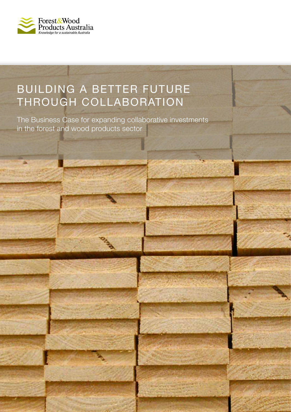

# BUILDING A BETTER FUTURE THROUGH COLLABORATION

The Business Case for expanding collaborative investments in the forest and wood products sector

FWPA > FUTURE DIRECTIONS 1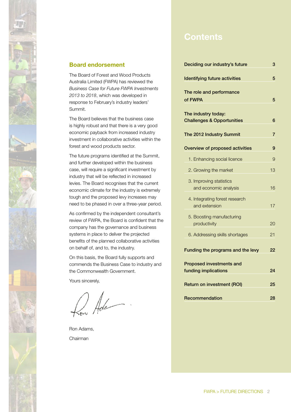

# **Contents**

| Deciding our industry's future                                       | 3  |
|----------------------------------------------------------------------|----|
| <b>Identifying future activities</b>                                 | 5  |
| The role and performance<br>of FWPA                                  | 5  |
| The industry today:<br><b>Challenges &amp; Opportunities</b>         | 6  |
| The 2012 Industry Summit                                             | 7  |
| Overview of proposed activities                                      | 9  |
| 1. Enhancing social licence                                          | 9  |
| 2. Growing the market                                                | 13 |
| 3. Improving statistics<br>and economic analysis                     | 16 |
| 4. Integrating forest research<br>and extension                      | 17 |
| 5. Boosting manufacturing<br>productivity                            | 20 |
| 6. Addressing skills shortages                                       | 21 |
| Funding the programs and the levy<br><b>Proposed investments and</b> | 22 |
| funding implications                                                 | 24 |
| <b>Return on investment (ROI)</b>                                    | 25 |
| Recommendation                                                       | 28 |

#### **Board endorsement**

The Board of Forest and Wood Products Australia Limited (FWPA) has reviewed the *Business Case for Future FWPA Investments 2013 to 2018*, which was developed in response to February's industry leaders' Summit.

The Board believes that the business case is highly robust and that there is a very good economic payback from increased industry investment in collaborative activities within the forest and wood products sector.

The future programs identified at the Summit, and further developed within the business case, will require a significant investment by industry that will be reflected in increased levies. The Board recognises that the current economic climate for the industry is extremely tough and the proposed levy increases may need to be phased in over a three-year period.

As confirmed by the independent consultant's review of FWPA, the Board is confident that the company has the governance and business systems in place to deliver the projected benefits of the planned collaborative activities on behalf of, and to, the industry.

On this basis, the Board fully supports and commends the Business Case to industry and the Commonwealth Government.

Yours sincerely,

Low Ada

Ron Adams, Chairman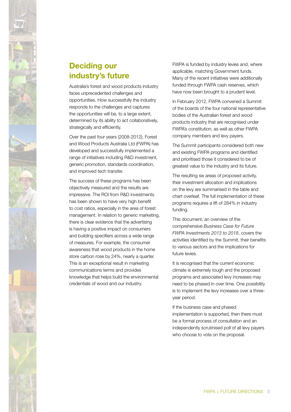

# **Deciding our industry's future**

Australia's forest and wood products industry faces unprecedented challenges and opportunities. How successfully the industry responds to the challenges and captures the opportunities will be, to a large extent, determined by its ability to act collaboratively, strategically and efficiently.

Over the past four years (2008-2012), Forest and Wood Products Australia Ltd (FWPA) has developed and successfully implemented a range of initiatives including R&D investment, generic promotion, standards coordination, and improved tech transfer.

The success of these programs has been objectively measured and the results are impressive. The ROI from R&D investments has been shown to have very high benefit to cost ratios, especially in the area of forest management. In relation to generic marketing, there is clear evidence that the advertising is having a positive impact on consumers and building specifiers across a wide range of measures. For example, the consumer awareness that wood products in the home store carbon rose by 24%, nearly a quarter. This is an exceptional result in marketing communications terms and provides knowledge that helps build the environmental credentials of wood and our industry.

FWPA is funded by industry levies and, where applicable, matching Government funds. Many of the recent initiatives were additionally funded through FWPA cash reserves, which have now been brought to a prudent level.

In February 2012, FWPA convened a Summit of the boards of the four national representative bodies of the Australian forest and wood products industry that are recognised under FWPA's constitution, as well as other FWPA company members and levy payers.

The Summit participants considered both new and existing FWPA programs and identified and prioritised those it considered to be of greatest value to the industry and its future.

The resulting six areas of proposed activity, their investment allocation and implications on the levy are summarised in the table and chart overleaf. The full implementation of these programs requires a lift of 284% in industry funding.

This document, an overview of the comprehensive *Business Case for Future FWPA Investments 2013 to 2018*, covers the activities identified by the Summit, their benefits to various sectors and the implications for future levies.

It is recognised that the current economic climate is extremely tough and the proposed programs and associated levy increases may need to be phased in over time. One possibility is to implement the levy increases over a threeyear period.

If the business case and phased implementation is supported, then there must be a formal process of consultation and an independently scrutinised poll of all levy payers who choose to vote on the proposal.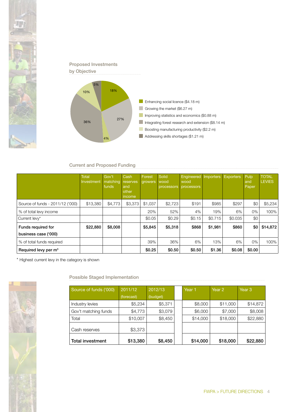



#### Current and Proposed Funding

|                                            | <b>Total</b><br>Investment | Gov't<br>matching<br>funds | Cash<br>reserves<br>and<br>other<br>income | Forest<br>growers | Solid<br>wood<br>processors | Engineered<br>wood<br><b>processors</b> | Importers | <b>Exporters</b> | Pulp<br>and<br>Paper | <b>TOTAL</b><br><b>LEVIES</b> |
|--------------------------------------------|----------------------------|----------------------------|--------------------------------------------|-------------------|-----------------------------|-----------------------------------------|-----------|------------------|----------------------|-------------------------------|
| Source of funds - 2011/12 ('000)           | \$13,380                   | \$4,773                    | \$3,373                                    | \$1,037           | \$2,723                     | \$191                                   | \$985     | \$297            | \$0                  | \$5,234                       |
| % of total levy income                     |                            |                            |                                            | 20%               | 52%                         | 4%                                      | 19%       | 6%               | 0%                   | 100%                          |
| Current levy*                              |                            |                            |                                            | \$0.05            | \$0.29                      | \$0.15                                  | \$0.715   | \$0.035          | \$0                  |                               |
| Funds required for<br>business case ('000) | \$22,880                   | \$8,008                    |                                            | \$5,845           | \$5,318                     | \$868                                   | \$1,981   | \$860            | \$0                  | \$14,872                      |
|                                            |                            |                            |                                            |                   |                             |                                         |           |                  |                      |                               |
| % of total funds required                  |                            |                            |                                            | 39%               | 36%                         | 6%                                      | 13%       | 6%               | 0%                   | 100%                          |
| Required levy per m <sup>3</sup>           |                            |                            |                                            | \$0.25            | \$0.50                      | \$0.50                                  | \$1.36    | \$0.08           | \$0.00               |                               |

\* Highest current levy in the category is shown

Possible Staged Implementation

| Source of funds ('000)  | 2011/12    | 2012/13  |  | Year 1   | Year 2   | Year <sub>3</sub> |
|-------------------------|------------|----------|--|----------|----------|-------------------|
|                         | (forecast) | (budget) |  |          |          |                   |
| Industry levies         | \$5,234    | \$5,371  |  | \$8,000  | \$11,000 | \$14,872          |
| Gov't matching funds    | \$4,773    | \$3,079  |  | \$6,000  | \$7,000  | \$8,008           |
| Total                   | \$10,007   | \$8,450  |  | \$14,000 | \$18,000 | \$22,880          |
| Cash reserves           | \$3,373    |          |  |          |          |                   |
| <b>Total investment</b> | \$13,380   | \$8,450  |  | \$14,000 | \$18,000 | \$22,880          |

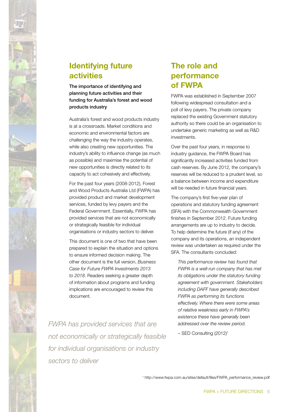

# **Identifying future activities**

The importance of identifying and planning future activities and their funding for Australia's forest and wood products industry

Australia's forest and wood products industry is at a crossroads. Market conditions and economic and environmental factors are challenging the way the industry operates, while also creating new opportunities. The industry's ability to influence change (as much as possible) and maximise the potential of new opportunities is directly related to its capacity to act cohesively and effectively.

For the past four years (2008-2012), Forest and Wood Products Australia Ltd (FWPA) has provided product and market development services, funded by levy payers and the Federal Government. Essentially, FWPA has provided services that are not economically or strategically feasible for individual organisations or industry sectors to deliver.

This document is one of two that have been prepared to explain the situation and options to ensure informed decision making. The other document is the full version, *Business Case for Future FWPA Investments 2013 to 2018*. Readers seeking a greater depth of information about programs and funding implications are encouraged to review this document.

*FWPA has provided services that are not economically or strategically feasible for individual organisations or industry sectors to deliver*

# **The role and performance of FWPA**

FWPA was established in September 2007 following widespread consultation and a poll of levy payers. The private company replaced the existing Government statutory authority so there could be an organisation to undertake generic marketing as well as R&D investments.

Over the past four years, in response to industry guidance, the FWPA Board has significantly increased activities funded from cash reserves. By June 2012, the company's reserves will be reduced to a prudent level, so a balance between income and expenditure will be needed in future financial years.

The company's first five-year plan of operations and statutory funding agreement (SFA) with the Commonwealth Government finishes in September 2012. Future funding arrangements are up to industry to decide. To help determine the future (if any) of the company and its operations, an independent review was undertaken as required under the SFA. The consultants concluded:

*This performance review has found that FWPA is a well-run company that has met its obligations under the statutory funding agreement with government. Stakeholders including DAFF have generally described FWPA as performing its functions effectively. Where there were some areas of relative weakness early in FWPA's existence these have generally been addressed over the review period.*

– SED Consulting (2012)1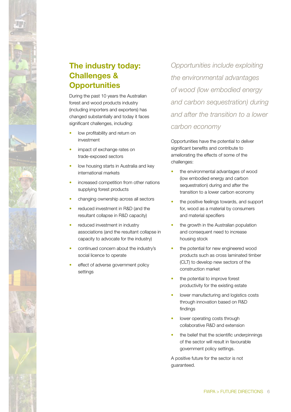

During the past 10 years the Australian forest and wood products industry (including importers and exporters) has changed substantially and today it faces significant challenges, including:

- low profitability and return on investment
- impact of exchange rates on trade-exposed sectors
- low housing starts in Australia and key international markets
- increased competition from other nations supplying forest products
- changing ownership across all sectors
- reduced investment in R&D (and the resultant collapse in R&D capacity)
- reduced investment in industry associations (and the resultant collapse in capacity to advocate for the industry)
- continued concern about the industry's social licence to operate
- effect of adverse government policy settings

*Opportunities include exploiting the environmental advantages of wood (low embodied energy and carbon sequestration) during and after the transition to a lower carbon economy* 

Opportunities have the potential to deliver significant benefits and contribute to ameliorating the effects of some of the challenges:

- the environmental advantages of wood (low embodied energy and carbon sequestration) during and after the transition to a lower carbon economy
- the positive feelings towards, and support for, wood as a material by consumers and material specifiers
- the growth in the Australian population and consequent need to increase housing stock
- the potential for new engineered wood products such as cross laminated timber (CLT) to develop new sectors of the construction market
- the potential to improve forest productivity for the existing estate
- lower manufacturing and logistics costs through innovation based on R&D findings
- lower operating costs through collaborative R&D and extension
- the belief that the scientific underpinnings of the sector will result in favourable government policy settings.

A positive future for the sector is not guaranteed.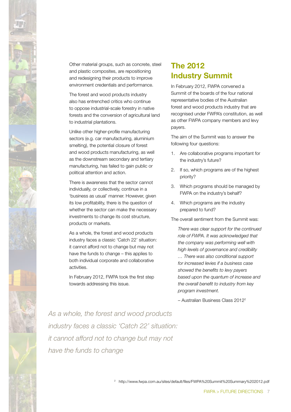

Other material groups, such as concrete, steel and plastic composites, are repositioning and redesigning their products to improve environment credentials and performance.

The forest and wood products industry also has entrenched critics who continue to oppose industrial-scale forestry in native forests and the conversion of agricultural land to industrial plantations.

Unlike other higher-profile manufacturing sectors (e.g. car manufacturing, aluminium smelting), the potential closure of forest and wood products manufacturing, as well as the downstream secondary and tertiary manufacturing, has failed to gain public or political attention and action.

There is awareness that the sector cannot individually, or collectively, continue in a 'business as usual' manner. However, given its low profitability, there is the question of whether the sector can make the necessary investments to change its cost structure, products or markets.

As a whole, the forest and wood products industry faces a classic 'Catch 22' situation: it cannot afford not to change but may not have the funds to change – this applies to both individual corporate and collaborative activities.

In February 2012, FWPA took the first step towards addressing this issue.

# **The 2012 Industry Summit**

In February 2012, FWPA convened a Summit of the boards of the four national representative bodies of the Australian forest and wood products industry that are recognised under FWPA's constitution, as well as other FWPA company members and levy payers.

The aim of the Summit was to answer the following four questions:

- 1. Are collaborative programs important for the industry's future?
- 2. If so, which programs are of the highest priority?
- 3. Which programs should be managed by FWPA on the industry's behalf?
- 4. Which programs are the industry prepared to fund?

The overall sentiment from the Summit was:

*There was clear support for the continued role of FWPA. It was acknowledged that the company was performing well with high levels of governance and credibility … There was also conditional support for increased levies if a business case showed the benefits to levy payers based upon the quantum of increase and* 

– Australian Business Class 20122

*program investment.*

*the overall benefit to industry from key* 

*As a whole, the forest and wood products industry faces a classic 'Catch 22' situation: it cannot afford not to change but may not have the funds to change*

2 http://www.fwpa.com.au/sites/default/files/FWPA%20Summit%20Summary%202012.pdf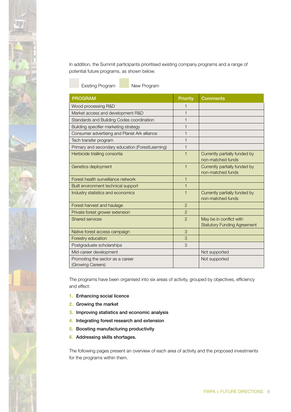In addition, the Summit participants prioritised existing company programs and a range of potential future programs, as shown below.

Existing Program New Program

| <b>PROGRAM</b>                                        | <b>Priority</b> | <b>Comments</b>                                               |
|-------------------------------------------------------|-----------------|---------------------------------------------------------------|
| Wood processing R&D                                   | 1               |                                                               |
| Market access and development R&D                     | $\mathbf{1}$    |                                                               |
| Standards and Building Codes coordination             | $\mathbf{1}$    |                                                               |
| Building specifier marketing strategy                 | $\mathbf{1}$    |                                                               |
| Consumer advertising and Planet Ark alliance          | 1               |                                                               |
| Tech transfer program                                 | $\mathbf{1}$    |                                                               |
| Primary and secondary education (ForestLearning)      | $\mathbf{1}$    |                                                               |
| Herbicide trialling consortia                         | $\mathbf 1$     | Currently partially funded by<br>non-matched funds            |
| Genetics deployment                                   | 1               | Currently partially funded by<br>non-matched funds            |
| Forest health surveillance network                    | $\mathbf{1}$    |                                                               |
| Built environment technical support                   | $\mathbf{1}$    |                                                               |
| Industry statistics and economics                     | $\mathbf 1$     | Currently partially funded by<br>non-matched funds            |
| Forest harvest and haulage                            | $\overline{2}$  |                                                               |
| Private forest grower extension                       | $\overline{2}$  |                                                               |
| Shared services                                       | $\overline{2}$  | May be in conflict with<br><b>Statutory Funding Agreement</b> |
| Native forest access campaign                         | 3               |                                                               |
| Forestry education                                    | 3               |                                                               |
| Postgraduate scholarships                             | 3               |                                                               |
| Mid-career development                                |                 | Not supported                                                 |
| Promoting the sector as a career<br>(Growing Careers) |                 | Not supported                                                 |

The programs have been organised into six areas of activity, grouped by objectives, efficiency and effect:

- 1. Enhancing social licence
- 2. Growing the market
- 3. Improving statistics and economic analysis
- 4. Integrating forest research and extension
- 5. Boosting manufacturing productivity
- 6. Addressing skills shortages.

The following pages present an overview of each area of activity and the proposed investments for the programs within them.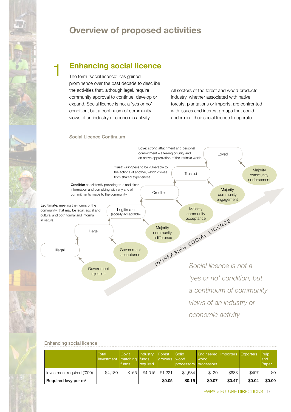

# **Overview of proposed activities**

# **Enhancing social licence**

The term 'social licence' has gained prominence over the past decade to describe the activities that, although legal, require community approval to continue, develop or expand. Social licence is not a 'yes or no' condition, but a continuum of community views of an industry or economic activity.

All sectors of the forest and wood products industry, whether associated with native forests, plantations or imports, are confronted with issues and interest groups that could undermine their social licence to operate.

#### Social Licence Continuum

1



#### Enhancing social licence

|                                  | <b>Total</b><br>Investment matching funds | Gov't<br>funds | Industry<br>required | Forest<br>growers wood | Solid<br>processors | <b>Engineered Importers Exporters</b><br>wood<br><b>processors</b> |        |        | Pulp<br>and<br>Paper |
|----------------------------------|-------------------------------------------|----------------|----------------------|------------------------|---------------------|--------------------------------------------------------------------|--------|--------|----------------------|
| Investment required ('000)       | \$4,180                                   | \$165          | \$4.015              | \$1.221                | \$1,584             | \$120                                                              | \$683  | \$407  | \$0                  |
| Required levy per m <sup>3</sup> |                                           |                |                      | \$0.05                 | \$0.15              | \$0.07                                                             | \$0.47 | \$0.04 | \$0.00               |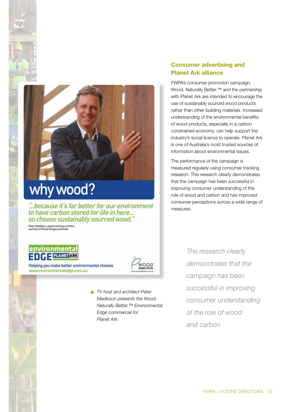# why wood?

... because it's far better for our environment<br>to have carbon stored for life in here... so choose sustainably sourced wood."

Peter Maddison, award-winning architect<br>and host of Grand Designs Australia

# environmental  $\blacksquare$   $\blacksquare$   $\blacksquare$   $\blacksquare$   $\blacksquare$   $\blacksquare$   $\blacksquare$   $\blacksquare$   $\blacksquare$   $\blacksquare$   $\blacksquare$   $\blacksquare$   $\blacksquare$   $\blacksquare$   $\blacksquare$   $\blacksquare$   $\blacksquare$   $\blacksquare$   $\blacksquare$   $\blacksquare$   $\blacksquare$   $\blacksquare$   $\blacksquare$   $\blacksquare$   $\blacksquare$   $\blacksquare$   $\blacksquare$   $\blacksquare$   $\blacksquare$   $\blacksquare$   $\blacksquare$   $\blacks$

Helping you make better environmental choices www.environmentaledge.com.au



 *TV host and architect Peter Madisson presents the Wood. Naturally Better.™ Environmental Edge commercial for Planet Ark.*

### **Consumer advertising and Planet Ark alliance**

FWPA's consumer promotion campaign, Wood. Naturally Better.<sup>™</sup> and the partnership with Planet Ark are intended to encourage the use of sustainably sourced wood products rather than other building materials. Increased understanding of the environmental benefits of wood products, especially in a carbon constrained economy, can help support the industry's social licence to operate. Planet Ark is one of Australia's most trusted sources of information about environmental issues.

The performance of the campaign is measured regularly using consumer tracking research. This research clearly demonstrates that the campaign has been successful in improving consumer understanding of the role of wood and carbon and has improved consumer perceptions across a wide range of measures.

> *The research clearly demonstrates that the campaign has been successful in improving consumer understanding of the role of wood and carbon*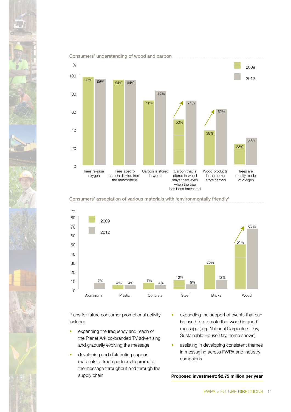

#### Consumers' understanding of wood and carbon





Plans for future consumer promotional activity include:

- expanding the frequency and reach of the Planet Ark co-branded TV advertising and gradually evolving the message
- developing and distributing support materials to trade partners to promote the message throughout and through the supply chain
- expanding the support of events that can be used to promote the 'wood is good' message (e.g. National Carpenters Day, Sustainable House Day, home shows)
- assisting in developing consistent themes in messaging across FWPA and industry campaigns

**Proposed investment: \$2.75 million per year**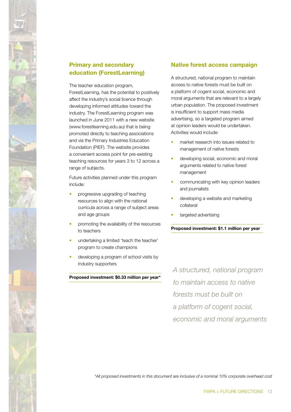

# **Primary and secondary education (ForestLearning)**

The teacher education program, ForestLearning, has the potential to positively affect the industry's social licence through developing informed attitudes toward the industry. The ForestLearning program was launched in June 2011 with a new website (www.forestlearning.edu.au) that is being promoted directly to teaching associations and via the Primary Industries Education Foundation (PIEF). The website provides a convenient access point for pre-existing teaching resources for years 3 to 12 across a range of subjects.

Future activities planned under this program include:

- progressive upgrading of teaching resources to align with the national curricula across a range of subject areas and age groups
- promoting the availability of the resources to teachers
- undertaking a limited 'teach the teacher' program to create champions
- developing a program of school visits by industry supporters

**Proposed investment: \$0.33 million per year\***

#### **Native forest access campaign**

A structured, national program to maintain access to native forests must be built on a platform of cogent social, economic and moral arguments that are relevant to a largely urban population. The proposed investment is insufficient to support mass media advertising, so a targeted program aimed at opinion leaders would be undertaken. Activities would include:

- market research into issues related to management of native forests
- developing social, economic and moral arguments related to native forest management
- communicating with key opinion leaders and journalists
- developing a website and marketing collateral
- targeted advertising

#### **Proposed investment: \$1.1 million per year**

*A structured, national program to maintain access to native forests must be built on a platform of cogent social, economic and moral arguments*

*\*All proposed investments in this document are inclusive of a nominal 10% corporate overhead cost*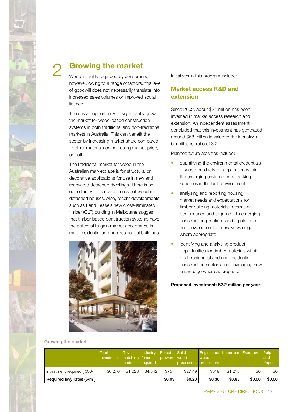

# **Growing the market** 2

Wood is highly regarded by consumers, however, owing to a range of factors, this level of goodwill does not necessarily translate into increased sales volumes or improved social licence.

There is an opportunity to significantly grow the market for wood-based construction systems in both traditional and non-traditional markets in Australia. This can benefit the sector by increasing market share compared to other materials or increasing market price, or both.

The traditional market for wood in the Australian marketplace is for structural or decorative applications for use in new and renovated detached dwellings. There is an opportunity to increase the use of wood in detached houses. Also, recent developments such as Lend Lease's new cross-laminated timber (CLT) building in Melbourne suggest that timber-based construction systems have the potential to gain market acceptance in multi-residential and non-residential buildings.



Initiatives in this program include:

## **Market access R&D and extension**

Since 2002, about \$21 million has been invested in market access research and extension. An independent assessment concluded that this investment has generated around \$68 million in value to the industry, a benefit-cost ratio of 3:2.

Planned future activities include:

- quantifying the environmental credentials of wood products for application within the emerging environmental ranking schemes in the built environment
- analysing and reporting housing market needs and expectations for timber building materials in terms of performance and alignment to emerging construction practices and regulations and development of new knowledge where appropriate
- identifying and analysing product opportunities for timber materials within multi-residential and non-residential construction sectors and developing new knowledge where appropriate

**Proposed investment: \$2.2 million per year**

#### Growing the market

|                                          | <b>Total</b><br>Investment   matching   funds | Gov't<br>funds | Industry<br>required | Forest<br>growers wood | Solid<br><b>processors</b> | <b>Engineered Importers Exporters Pulp</b><br>wood<br><b>processors</b> |         |        | and<br>Paper |
|------------------------------------------|-----------------------------------------------|----------------|----------------------|------------------------|----------------------------|-------------------------------------------------------------------------|---------|--------|--------------|
| Investment required ('000)               | \$6,270                                       | \$1,628        | \$4,642              | \$757                  | \$2.149                    | \$519                                                                   | \$1.216 | \$0    | \$0          |
| Required levy rates (\$/m <sup>3</sup> ) |                                               |                |                      | \$0.03                 | \$0.20                     | \$0.30                                                                  | \$0.83  | \$0.00 | \$0.00       |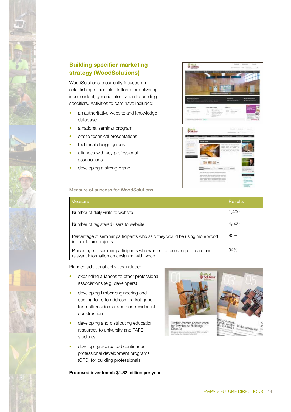

# **Building specifier marketing strategy (WoodSolutions)**

WoodSolutions is currently focused on establishing a credible platform for delivering independent, generic information to building specifiers. Activities to date have included:

- an authoritative website and knowledge database
- a national seminar program
- onsite technical presentations
- technical design guides
- alliances with key professional associations
- developing a strong brand

#### Measure of success for WoodSolutions

| Measure                                                                                                                | Results |
|------------------------------------------------------------------------------------------------------------------------|---------|
| Number of daily visits to website                                                                                      | 1,400   |
| Number of registered users to website                                                                                  | 4,500   |
| Percentage of seminar participants who said they would be using more wood<br>in their future projects                  | 80%     |
| Percentage of seminar participants who wanted to receive up-to-date and<br>relevant information on designing with wood | 94%     |

Planned additional activities include:

- expanding alliances to other professional associations (e.g. developers)
- developing timber engineering and costing tools to address market gaps for multi-residential and non-residential construction
- developing and distributing education resources to university and TAFE students
- developing accredited continuous professional development programs (CPD) for building professionals

**Proposed investment: \$1.32 million per year**



**Silvers** 

**Schillers**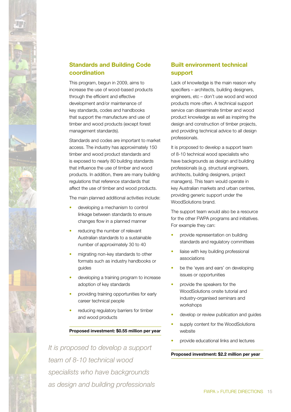

# **Standards and Building Code coordination**

This program, begun in 2009, aims to increase the use of wood-based products through the efficient and effective development and/or maintenance of key standards, codes and handbooks that support the manufacture and use of timber and wood products (except forest management standards).

Standards and codes are important to market access. The industry has approximately 150 timber and wood product standards and is exposed to nearly 80 building standards that influence the use of timber and wood products. In addition, there are many building regulations that reference standards that affect the use of timber and wood products.

The main planned additional activities include:

- developing a mechanism to control linkage between standards to ensure changes flow in a planned manner
- reducing the number of relevant Australian standards to a sustainable number of approximately 30 to 40
- migrating non-key standards to other formats such as industry handbooks or guides
- developing a training program to increase adoption of key standards
- providing training opportunities for early career technical people
- reducing regulatory barriers for timber and wood products

#### **Proposed investment: \$0.55 million per year**

*It is proposed to develop a support team of 8-10 technical wood specialists who have backgrounds as design and building professionals*

## **Built environment technical support**

Lack of knowledge is the main reason why specifiers – architects, building designers, engineers, etc – don't use wood and wood products more often. A technical support service can disseminate timber and wood product knowledge as well as inspiring the design and construction of timber projects, and providing technical advice to all design professionals.

It is proposed to develop a support team of 8-10 technical wood specialists who have backgrounds as design and building professionals (e.g. structural engineers, architects, building designers, project managers). This team would operate in key Australian markets and urban centres, providing generic support under the WoodSolutions brand.

The support team would also be a resource for the other FWPA programs and initiatives. For example they can:

- provide representation on building standards and regulatory committees
- liaise with key building professional associations
- be the 'eyes and ears' on developing issues or opportunities
- provide the speakers for the WoodSolutions onsite tutorial and industry-organised seminars and workshops
- develop or review publication and quides
- supply content for the WoodSolutions website
- provide educational links and lectures

#### **Proposed investment: \$2.2 million per year**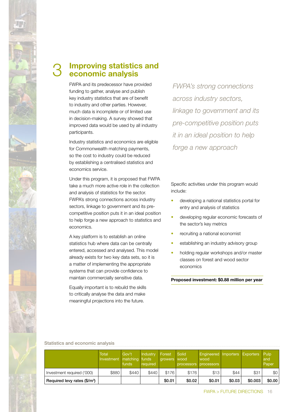

#### **Improving statistics and economic analysis** 3

FWPA and its predecessor have provided funding to gather, analyse and publish key industry statistics that are of benefit to industry and other parties. However, much data is incomplete or of limited use in decision-making. A survey showed that improved data would be used by all industry participants.

Industry statistics and economics are eligible for Commonwealth matching payments, so the cost to industry could be reduced by establishing a centralised statistics and economics service.

Under this program, it is proposed that FWPA take a much more active role in the collection and analysis of statistics for the sector. FWPA's strong connections across industry sectors, linkage to government and its precompetitive position puts it in an ideal position to help forge a new approach to statistics and economics.

A key platform is to establish an online statistics hub where data can be centrally entered, accessed and analysed. This model already exists for two key data sets, so it is a matter of implementing the appropriate systems that can provide confidence to maintain commercially sensitive data.

Equally important is to rebuild the skills to critically analyse the data and make meaningful projections into the future.

*FWPA's strong connections across industry sectors, linkage to government and its pre-competitive position puts it in an ideal position to help forge a new approach*

Specific activities under this program would include:

- developing a national statistics portal for entry and analysis of statistics
- developing regular economic forecasts of the sector's key metrics
- recruiting a national economist
- establishing an industry advisory group
- holding regular workshops and/or master classes on forest and wood sector economics

**Proposed investment: \$0.88 million per year**

#### Statistics and economic analysis

|                                          | <b>Total</b><br>Investment | Gov't<br>matching funds<br>funds | Industry<br>required | Forest<br>growers wood | <b>Solid</b><br>processors processors | Engineered Importers Exporters Pulp<br>wood |        |         | and<br>Paper |
|------------------------------------------|----------------------------|----------------------------------|----------------------|------------------------|---------------------------------------|---------------------------------------------|--------|---------|--------------|
| Investment required ('000)               | \$880                      | \$440                            | \$440                | \$176                  | \$176                                 | \$13                                        | \$44   | \$31    | \$0          |
| Required levy rates (\$/m <sup>3</sup> ) |                            |                                  |                      | \$0.01                 | \$0.02                                | \$0.01                                      | \$0.03 | \$0.003 | \$0.00       |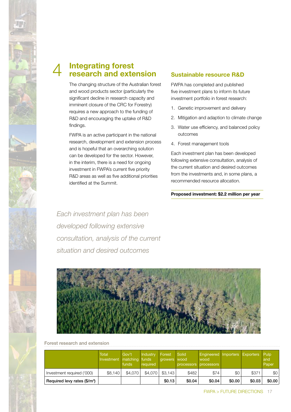

#### **Integrating forest research and extension** 4

The changing structure of the Australian forest and wood products sector (particularly the significant decline in research capacity and imminent closure of the CRC for Forestry) requires a new approach to the funding of R&D and encouraging the uptake of R&D findings.

FWPA is an active participant in the national research, development and extension process and is hopeful that an overarching solution can be developed for the sector. However, in the interim, there is a need for ongoing investment in FWPA's current five priority R&D areas as well as five additional priorities identified at the Summit.

### **Sustainable resource R&D**

FWPA has completed and published five investment plans to inform its future investment portfolio in forest research:

- 1. Genetic improvement and delivery
- 2. Mitigation and adaption to climate change
- 3. Water use efficiency, and balanced policy outcomes
- 4. Forest management tools

Each investment plan has been developed following extensive consultation, analysis of the current situation and desired outcomes from the investments and, in some plans, a recommended resource allocation.

**Proposed investment: \$2.2 million per year**

*Each investment plan has been developed following extensive consultation, analysis of the current situation and desired outcomes*



#### Forest research and extension

|                                          | <b>Total</b><br>Investment | Gov't<br>matching funds<br>funds | Industry<br>required | Forest<br>growers | Solid<br>wood<br>processors processors | Engineered Importers Exporters Pulp<br>wood |        |        | and<br>Paper |
|------------------------------------------|----------------------------|----------------------------------|----------------------|-------------------|----------------------------------------|---------------------------------------------|--------|--------|--------------|
| Investment required ('000)               | \$8,140                    | \$4,070                          | \$4,070              | \$3.143           | \$482                                  | \$74                                        | \$0    | \$371  | \$0          |
| Required levy rates (\$/m <sup>3</sup> ) |                            |                                  |                      | \$0.13            | \$0.04                                 | \$0.04                                      | \$0.00 | \$0.03 | \$0.00       |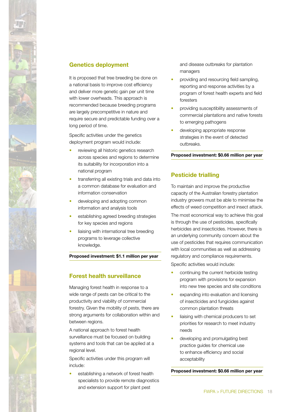

#### **Genetics deployment**

It is proposed that tree breeding be done on a national basis to improve cost efficiency and deliver more genetic gain per unit time with lower overheads. This approach is recommended because breeding programs are largely precompetitive in nature and require secure and predictable funding over a long period of time.

Specific activities under the genetics deployment program would include:

- reviewing all historic genetics research across species and regions to determine its suitability for incorporation into a national program
- transferring all existing trials and data into a common database for evaluation and information conservation
- developing and adopting common information and analysis tools
- establishing agreed breeding strategies for key species and regions
- liaising with international tree breeding programs to leverage collective knowledge.

**Proposed investment: \$1.1 million per year**

### **Forest health surveillance**

Managing forest health in response to a wide range of pests can be critical to the productivity and viability of commercial forestry. Given the mobility of pests, there are strong arguments for collaboration within and between regions.

A national approach to forest health surveillance must be focused on building systems and tools that can be applied at a regional level.

Specific activities under this program will include:

establishing a network of forest health specialists to provide remote diagnostics and extension support for plant pest

and disease outbreaks for plantation managers

- providing and resourcing field sampling, reporting and response activities by a program of forest health experts and field foresters
- providing susceptibility assessments of commercial plantations and native forests to emerging pathogens
- developing appropriate response strategies in the event of detected outbreaks.

#### **Proposed investment: \$0.66 million per year**

#### **Pesticide trialling**

To maintain and improve the productive capacity of the Australian forestry plantation industry growers must be able to minimise the effects of weed competition and insect attack.

The most economical way to achieve this goal is through the use of pesticides, specifically herbicides and insecticides. However, there is an underlying community concern about the use of pesticides that requires communication with local communities as well as addressing regulatory and compliance requirements. Specific activities would include:

- continuing the current herbicide testing program with provisions for expansion into new tree species and site conditions
- expanding into evaluation and licensing of insecticides and fungicides against common plantation threats
- liaising with chemical producers to set priorities for research to meet industry needs
- developing and promulgating best practice guides for chemical use to enhance efficiency and social acceptability

**Proposed investment: \$0.66 million per year**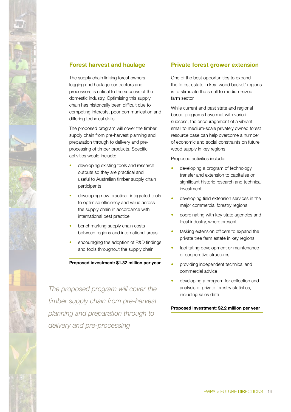

### **Forest harvest and haulage**

The supply chain linking forest owners, logging and haulage contractors and processors is critical to the success of the domestic industry. Optimising this supply chain has historically been difficult due to competing interests, poor communication and differing technical skills.

The proposed program will cover the timber supply chain from pre-harvest planning and preparation through to delivery and preprocessing of timber products. Specific activities would include:

- developing existing tools and research outputs so they are practical and useful to Australian timber supply chain participants
- developing new practical, integrated tools to optimise efficiency and value across the supply chain in accordance with international best practice
- benchmarking supply chain costs between regions and international areas
- encouraging the adoption of R&D findings and tools throughout the supply chain

#### **Proposed investment: \$1.32 million per year**

*The proposed program will cover the timber supply chain from pre-harvest planning and preparation through to delivery and pre-processing*

#### **Private forest grower extension**

One of the best opportunities to expand the forest estate in key 'wood basket' regions is to stimulate the small to medium-sized farm sector.

While current and past state and regional based programs have met with varied success, the encouragement of a vibrant small to medium-scale privately owned forest resource base can help overcome a number of economic and social constraints on future wood supply in key regions.

Proposed activities include:

- developing a program of technology transfer and extension to capitalise on significant historic research and technical investment
- developing field extension services in the major commercial forestry regions
- coordinating with key state agencies and local industry, where present
- tasking extension officers to expand the private tree farm estate in key regions
- facilitating development or maintenance of cooperative structures
- providing independent technical and commercial advice
- developing a program for collection and analysis of private forestry statistics, including sales data

**Proposed investment: \$2.2 million per year**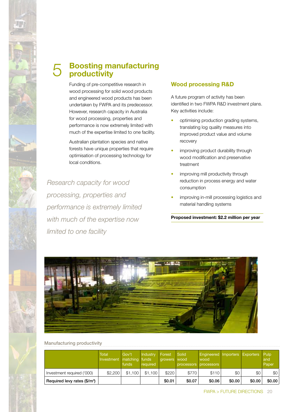

# **Boosting manufacturing**  5 **Boosting manual**

Funding of pre-competitive research in wood processing for solid wood products and engineered wood products has been undertaken by FWPA and its predecessor. However, research capacity in Australia for wood processing, properties and performance is now extremely limited with much of the expertise limited to one facility.

Australian plantation species and native forests have unique properties that require optimisation of processing technology for local conditions.

*Research capacity for wood processing, properties and performance is extremely limited with much of the expertise now limited to one facility*

## **Wood processing R&D**

A future program of activity has been identified in two FWPA R&D investment plans. Key activities include:

- optimising production grading systems, translating log quality measures into improved product value and volume recovery
- improving product durability through wood modification and preservative treatment
- improving mill productivity through reduction in process energy and water consumption
- improving in-mill processing logistics and material handling systems

**Proposed investment: \$2.2 million per year**



#### Manufacturing productivity

|                                          | <b>Total</b><br>Investment | Gov't<br>matching funds<br>funds | Industry<br>required | Forest<br>growers | Solid<br>wood<br>processors processors | <b>Engineered Importers Exporters</b><br>wood |        |        | Pulp<br>and<br>Paper |
|------------------------------------------|----------------------------|----------------------------------|----------------------|-------------------|----------------------------------------|-----------------------------------------------|--------|--------|----------------------|
| Investment required ('000)               | \$2,200                    | \$1.100                          | \$1.100              | \$220             | \$770                                  | \$110                                         | \$0    | \$0    | \$0                  |
| Required levy rates (\$/m <sup>3</sup> ) |                            |                                  |                      | \$0.01            | \$0.07                                 | \$0.06                                        | \$0.00 | \$0.00 | \$0.00               |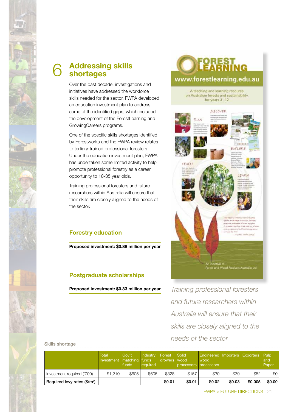

# **Addressing skills shortages** 6

Over the past decade, investigations and initiatives have addressed the workforce skills needed for the sector. FWPA developed an education investment plan to address some of the identified gaps, which included the development of the ForestLearning and GrowingCareers programs.

One of the specific skills shortages identified by Forestworks and the FWPA review relates to tertiary-trained professional foresters. Under the education investment plan, FWPA has undertaken some limited activity to help promote professional forestry as a career opportunity to 18-35 year olds.

Training professional foresters and future researchers within Australia will ensure that their skills are closely aligned to the needs of the sector.

# **Forestry education**

**Proposed investment: \$0.88 million per year**

# **Postgraduate scholarships**

**Proposed investment: \$0.33 million per year**

# OREST<br>EARNING www.forestlearning.edu.au

A teaching and learning resource on Australian forests and sustainability for years 3 - 12



*Training professional foresters and future researchers within Australia will ensure that their skills are closely aligned to the needs of the sector*

#### Skills shortage

|                                          | <b>Total</b><br>Investment matching funds | Gov't<br>funds | Industry<br>required | Forest<br>growers wood | Solid<br>processors processors | <b>Engineered Importers</b><br>wood |        | <b>Exporters</b> Pulp | and<br>Paper |
|------------------------------------------|-------------------------------------------|----------------|----------------------|------------------------|--------------------------------|-------------------------------------|--------|-----------------------|--------------|
| Investment required ('000)               | \$1.210                                   | \$605          | \$605                | \$328                  | \$157                          | \$30                                | \$39   | \$52                  | \$0          |
| Required levy rates (\$/m <sup>3</sup> ) |                                           |                |                      | \$0.01                 | \$0.01                         | \$0.02                              | \$0.03 | \$0.005               | \$0.00       |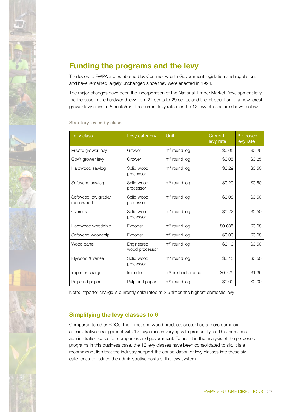

# **Funding the programs and the levy**

The levies to FWPA are established by Commonwealth Government legislation and regulation, and have remained largely unchanged since they were enacted in 1994.

The major changes have been the incorporation of the National Timber Market Development levy, the increase in the hardwood levy from 22 cents to 29 cents, and the introduction of a new forest grower levy class at 5 cents/ $m<sup>3</sup>$ . The current levy rates for the 12 levy classes are shown below.

#### Statutory levies by class

| Levy class                       | Levy category                | Unit                  | Current<br>levy rate | Proposed<br>levy rate |
|----------------------------------|------------------------------|-----------------------|----------------------|-----------------------|
| Private grower levy              | Grower                       | $m3$ round log        | \$0.05               | \$0.25                |
| Gov't grower levy                | Grower                       | $m3$ round log        | \$0.05               | \$0.25                |
| Hardwood sawlog                  | Solid wood<br>processor      | $m3$ round log        | \$0.29               | \$0.50                |
| Softwood sawlog                  | Solid wood<br>processor      | $m3$ round log        | \$0.29               | \$0.50                |
| Softwood low grade/<br>roundwood | Solid wood<br>processor      | $m3$ round log        | \$0.08               | \$0.50                |
| Cypress                          | Solid wood<br>processor      | $m3$ round log        | \$0.22               | \$0.50                |
| Hardwood woodchip                | Exporter                     | $m3$ round log        | \$0.035              | \$0.08                |
| Softwood woodchip                | Exporter                     | $m3$ round log        | \$0.00               | \$0.08                |
| Wood panel                       | Engineered<br>wood processor | $m3$ round log        | \$0.10               | \$0.50                |
| Plywood & veneer                 | Solid wood<br>processor      | $m3$ round log        | \$0.15               | \$0.50                |
| Importer charge                  | Importer                     | $m3$ finished product | \$0.725              | \$1.36                |
| Pulp and paper                   | Pulp and paper               | $m3$ round log        | \$0.00               | \$0.00                |

Note: importer charge is currently calculated at 2.5 times the highest domestic levy

### **Simplifying the levy classes to 6**

Compared to other RDCs, the forest and wood products sector has a more complex administrative arrangement with 12 levy classes varying with product type. This increases administration costs for companies and government. To assist in the analysis of the proposed programs in this business case, the 12 levy classes have been consolidated to six. It is a recommendation that the industry support the consolidation of levy classes into these six categories to reduce the administrative costs of the levy system.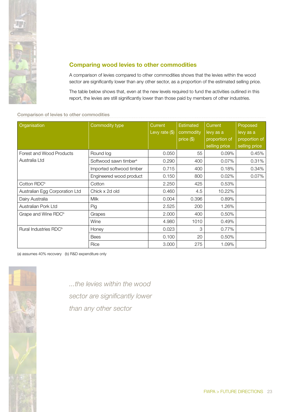

### **Comparing wood levies to other commodities**

A comparison of levies compared to other commodities shows that the levies within the wood sector are significantly lower than any other sector, as a proportion of the estimated selling price.

The table below shows that, even at the new levels required to fund the activities outlined in this report, the levies are still significantly lower than those paid by members of other industries.

Comparison of levies to other commodities

| Organisation                      | Commodity type                    | Current<br>Levy rate $(\$)$ | <b>Estimated</b><br>commodity | Current<br>levy as a | Proposed<br>levy as a |
|-----------------------------------|-----------------------------------|-----------------------------|-------------------------------|----------------------|-----------------------|
|                                   |                                   |                             | $price$ (\$)                  | proportion of        | proportion of         |
|                                   |                                   |                             |                               | selling price        | selling price         |
| Forest and Wood Products          | Round log                         | 0.050                       | 55                            | $0.09\%$             | 0.45%                 |
| Australia Ltd                     | Softwood sawn timber <sup>a</sup> | 0.290                       | 400                           | 0.07%                | 0.31%                 |
|                                   | Imported softwood timber          | 0.715                       | 400                           | 0.18%                | 0.34%                 |
|                                   | Engineered wood product           | 0.150                       | 800                           | 0.02%                | 0.07%                 |
| Cotton RDC <sup>b</sup>           | Cotton                            | 2.250                       | 425                           | 0.53%                |                       |
| Australian Egg Corporation Ltd    | Chick x 2d old                    | 0.460                       | 4.5                           | 10.22%               |                       |
| Dairy Australia                   | <b>Milk</b>                       | 0.004                       | 0.396                         | 0.89%                |                       |
| Australian Pork Ltd               | Pig                               | 2.525                       | 200                           | 1.26%                |                       |
| Grape and Wine RDC <sup>b</sup>   | Grapes                            | 2.000                       | 400                           | 0.50%                |                       |
|                                   | Wine                              | 4.980                       | 1010                          | 0.49%                |                       |
| Rural Industries RDC <sup>b</sup> | Honey                             | 0.023                       | 3                             | 0.77%                |                       |
|                                   | <b>Bees</b>                       | 0.100                       | 20                            | 0.50%                |                       |
|                                   | Rice                              | 3.000                       | 275                           | 1.09%                |                       |

(a) assumes 40% recovery (b) R&D expenditure only



*...the levies within the wood sector are significantly lower than any other sector*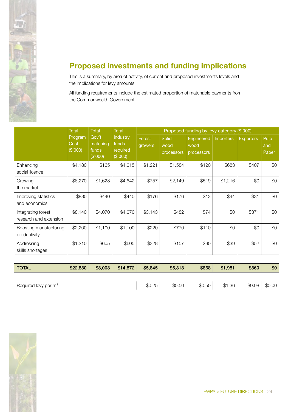

# **Proposed investments and funding implications**

This is a summary, by area of activity, of current and proposed investments levels and the implications for levy amounts.

All funding requirements include the estimated proportion of matchable payments from the Commonwealth Government.

|                                              | <b>Total</b>                | <b>Total</b><br><b>Total</b><br>industry<br>Gov't<br>matching<br>funds<br>required<br>funds<br>(\$'000)<br>(\$'000) | Proposed funding by levy category (\$'000) |                   |                             |                                         |                  |                  |                      |
|----------------------------------------------|-----------------------------|---------------------------------------------------------------------------------------------------------------------|--------------------------------------------|-------------------|-----------------------------|-----------------------------------------|------------------|------------------|----------------------|
|                                              | Program<br>Cost<br>(\$'000) |                                                                                                                     |                                            | Forest<br>growers | Solid<br>wood<br>processors | <b>Engineered</b><br>wood<br>processors | <b>Importers</b> | <b>Exporters</b> | Pulp<br>and<br>Paper |
| Enhancing<br>social licence                  | \$4,180                     | \$165                                                                                                               | \$4,015                                    | \$1,221           | \$1,584                     | \$120                                   | \$683            | \$407            | \$0                  |
| Growing<br>the market                        | \$6,270                     | \$1,628                                                                                                             | \$4,642                                    | \$757             | \$2,149                     | \$519                                   | \$1,216          | \$0              | \$0                  |
| Improving statistics<br>and economics        | \$880                       | \$440                                                                                                               | \$440                                      | \$176             | \$176                       | \$13                                    | \$44             | \$31             | \$0                  |
| Integrating forest<br>research and extension | \$8,140                     | \$4,070                                                                                                             | \$4,070                                    | \$3,143           | \$482                       | \$74                                    | \$0              | \$371            | \$0                  |
| Boosting manufacturing<br>productivity       | \$2,200                     | \$1,100                                                                                                             | \$1,100                                    | \$220             | \$770                       | \$110                                   | \$0              | \$0              | \$0                  |
| Addressing<br>skills shortages               | \$1,210                     | \$605                                                                                                               | \$605                                      | \$328             | \$157                       | \$30                                    | \$39             | \$52             | \$0                  |

| <b>TOTAL</b>                     | \$22,880 | \$8,008 | \$14,872 | \$5.845 | \$5,318 | \$868  | \$1,981 | \$860  | \$0    |
|----------------------------------|----------|---------|----------|---------|---------|--------|---------|--------|--------|
|                                  |          |         |          |         |         |        |         |        |        |
| Required levy per m <sup>3</sup> |          |         |          | \$0.25  | \$0.50  | \$0.50 | \$1.36  | \$0.08 | \$0.00 |

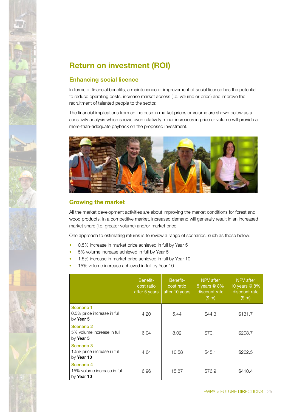

# **Return on investment (ROI)**

### **Enhancing social licence**

In terms of financial benefits, a maintenance or improvement of social licence has the potential to reduce operating costs, increase market access (i.e. volume or price) and improve the recruitment of talented people to the sector.

The financial implications from an increase in market prices or volume are shown below as a sensitivity analysis which shows even relatively minor increases in price or volume will provide a more-than-adequate payback on the proposed investment.



### **Growing the market**

All the market development activities are about improving the market conditions for forest and wood products. In a competitive market, increased demand will generally result in an increased market share (i.e. greater volume) and/or market price.

One approach to estimating returns is to review a range of scenarios, such as those below:

- 0.5% increase in market price achieved in full by Year 5
- 5% volume increase achieved in full by Year 5
- 1.5% increase in market price achieved in full by Year 10
- 15% volume increase achieved in full by Year 10.

|                                                         | Benefit-<br>cost ratio<br>after 5 years | Benefit-<br>cost ratio<br>after 10 years | NPV after<br>5 years @ 8%<br>discount rate<br>$(S \, m)$ | NPV after<br>10 years @ 8%<br>discount rate<br>(\$m) |
|---------------------------------------------------------|-----------------------------------------|------------------------------------------|----------------------------------------------------------|------------------------------------------------------|
| Scenario 1<br>0.5% price increase in full<br>by Year 5  | 4.20                                    | 5.44                                     | \$44.3                                                   | \$131.7                                              |
| Scenario 2<br>5% volume increase in full<br>by Year 5   | 6.04                                    | 8.02                                     | \$70.1                                                   | \$208.7                                              |
| Scenario 3<br>1.5% price increase in full<br>by Year 10 | 4.64                                    | 10.58                                    | \$45.1                                                   | \$262.5                                              |
| Scenario 4<br>15% volume increase in full<br>by Year 10 | 6.96                                    | 15.87                                    | \$76.9                                                   | \$410.4                                              |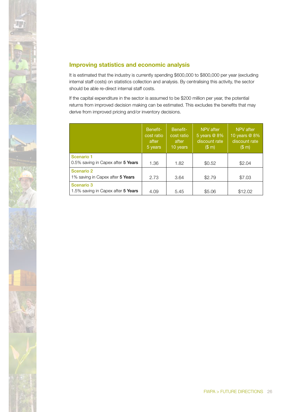

## **Improving statistics and economic analysis**

It is estimated that the industry is currently spending \$600,000 to \$800,000 per year (excluding internal staff costs) on statistics collection and analysis. By centralising this activity, the sector should be able re-direct internal staff costs.

If the capital expenditure in the sector is assumed to be \$200 million per year, the potential returns from improved decision making can be estimated. This excludes the benefits that may derive from improved pricing and/or inventory decisions.

|                                                  | Benefit-<br>cost ratio<br>after<br>5 years | Benefit-<br>cost ratio<br>after<br>10 years | NPV after<br>5 years @ 8%<br>discount rate<br>(\$m) | NPV after<br>10 years @ 8%<br>discount rate<br>(\$m) |
|--------------------------------------------------|--------------------------------------------|---------------------------------------------|-----------------------------------------------------|------------------------------------------------------|
| Scenario 1<br>0.5% saving in Capex after 5 Years | 1.36                                       | 1.82                                        | \$0.52                                              | \$2.04                                               |
| Scenario 2<br>1% saving in Capex after 5 Years   | 2.73                                       | 3.64                                        | \$2.79                                              | \$7.03                                               |
| Scenario 3<br>1.5% saving in Capex after 5 Years | 4.09                                       | 5.45                                        | \$5.06                                              | \$12.02                                              |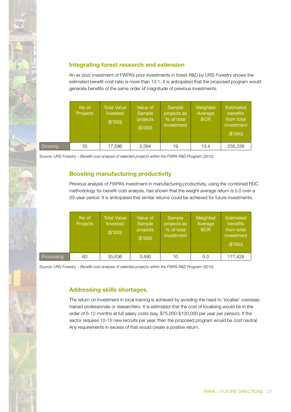

### **Integrating forest research and extension**

An *ex post* investment of FWPA's prior investments in forest R&D by URS Forestry shows the estimated benefit-cost ratio is more than 13:1. It is anticipated that the proposed program would generate benefits of the same order of magnitude of previous investments.

|         | No of<br><b>Projects</b> | <b>Total Value</b><br>Invested<br>(\$'000) | Value of<br>Sample<br>projects<br>(\$'000) | Sample<br>projects as<br>% of total<br>investment | Weighted<br>Average<br><b>BCR</b> | <b>Estimated</b><br>benefits<br>from total<br>investment<br>(\$'000) |
|---------|--------------------------|--------------------------------------------|--------------------------------------------|---------------------------------------------------|-----------------------------------|----------------------------------------------------------------------|
| Growing | 35                       | 17,596                                     | 3.394                                      | 19                                                | 13.4                              | 235,339                                                              |

*Source: URS Forestry – Benefit-cost analysis of selected projects within the FWPA R&D Program (2012)*

### **Boosting manufacturing productivity**

Previous analysis of FWPA's investment in manufacturing productivity, using the combined RDC methodology for benefit-cost analysis, has shown that the weight average return is 5.0 over a 20–year period. It is anticipated that similar returns could be achieved for future investments.

|            | No of<br>Projects | <b>Total Value</b><br>Invested<br>(\$'000) | Value of<br>Sample<br>projects<br>(\$'000) | Sample<br>projects as<br>% of total<br>investment | Weighted<br>Average<br><b>BCR</b> | <b>Estimated</b><br>benefits<br>from total<br>investment<br>(\$'000) |
|------------|-------------------|--------------------------------------------|--------------------------------------------|---------------------------------------------------|-----------------------------------|----------------------------------------------------------------------|
| Processing | 60                | 35,636                                     | 3,490                                      | 10                                                | 5.0                               | 177,428                                                              |

*Source: URS Forestry – Benefit-cost analysis of selected projects within the FWPA R&D Program (2012)*

### **Addressing skills shortages.**

The return on investment in local training is achieved by avoiding the need to 'localise' overseastrained professionals or researchers. It is estimated that the cost of localising would be in the order of 6-12 months at full salary costs (say, \$75,000-\$100,000 per year per person). If the sector requires 10-15 new recruits per year, then the proposed program would be cost neutral. Any requirements in excess of that would create a positive return.